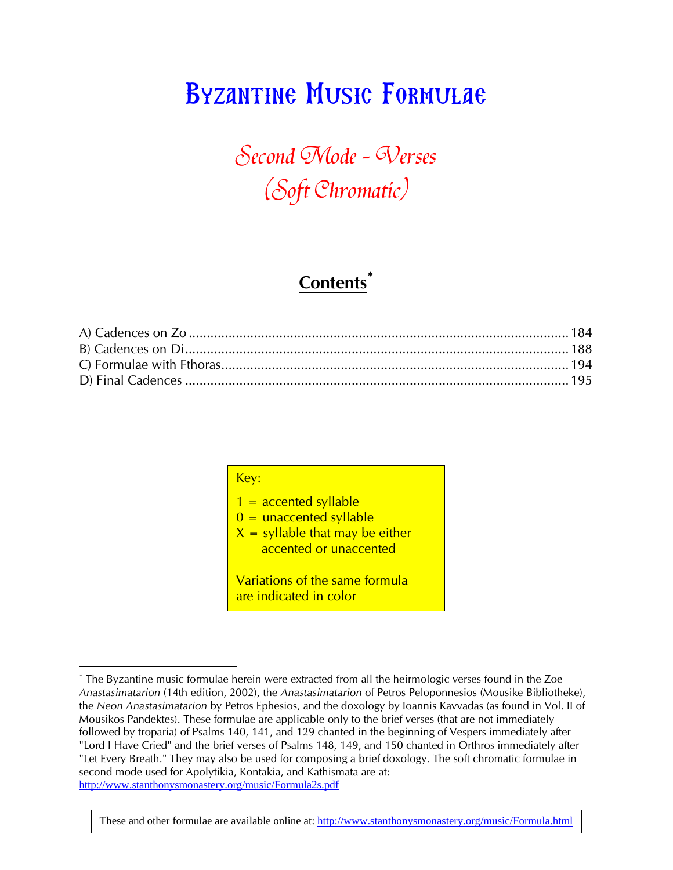# Byzantine Music Formulae

# Second Mode - Werses (Soft Chromatic)

## **Contents\***

Key:

 $1 =$  accented syllable  $0 =$  unaccented syllable  $X =$  syllable that may be either accented or unaccented

Variations of the same formula are indicated in color

These and other formulae are available online at: http://www.stanthonysmonastery.org/music/Formula.html

 $\overline{a}$ \* The Byzantine music formulae herein were extracted from all the heirmologic verses found in the Zoe *Anastasimatarion* (14th edition, 2002), the *Anastasimatarion* of Petros Peloponnesios (Mousike Bibliotheke), the *Neon Anastasimatarion* by Petros Ephesios, and the doxology by Ioannis Kavvadas (as found in Vol. II of Mousikos Pandektes). These formulae are applicable only to the brief verses (that are not immediately followed by troparia) of Psalms 140, 141, and 129 chanted in the beginning of Vespers immediately after "Lord I Have Cried" and the brief verses of Psalms 148, 149, and 150 chanted in Orthros immediately after "Let Every Breath." They may also be used for composing a brief doxology. The soft chromatic formulae in second mode used for Apolytikia, Kontakia, and Kathismata are at: http://www.stanthonysmonastery.org/music/Formula2s.pdf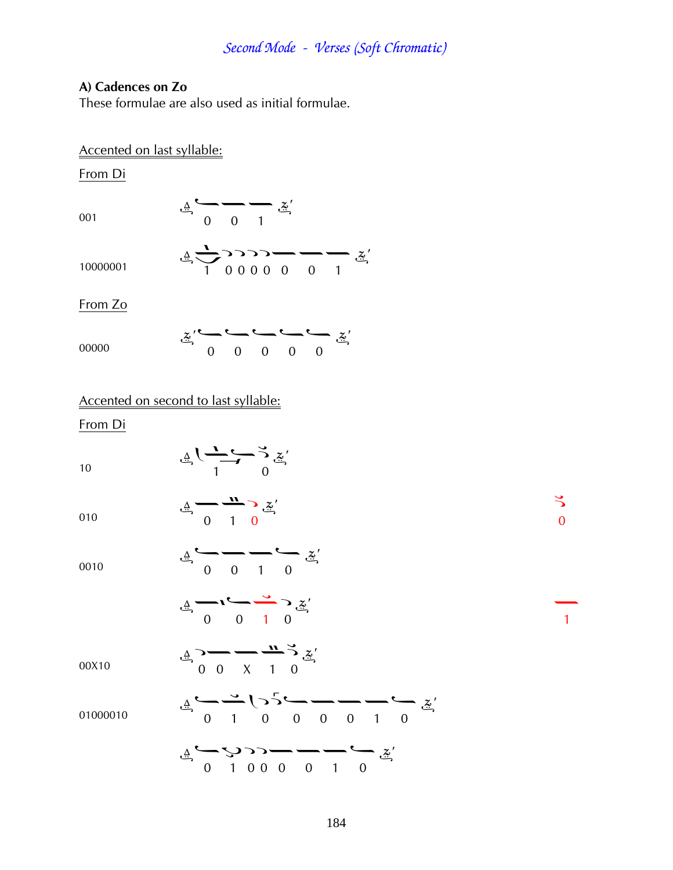### **A) Cadences on Zo**

These formulae are also used as initial formulae.

### Accented on last syllable:

From Di

001

 $\underline{\mathbb{A}}\longrightarrow \begin{array}{c}\n\underline{\mathbb{A}} \\
\underline{\mathbb{A}} \\
0\n\end{array}$ 

10000001

From Zo

|       | $\underline{x}^{\prime}\longleftarrow \longleftarrow \longleftarrow \longleftarrow \underbrace{x^{\prime}}$ |                             |  |  |
|-------|-------------------------------------------------------------------------------------------------------------|-----------------------------|--|--|
| 00000 |                                                                                                             | $0 \quad 0 \quad 0 \quad 0$ |  |  |

 $\frac{4}{1}$  00000 0 1

### Accented on second to last syllable:

#### From Di

010

| 10 | $\underline{A}$ $\overline{C}$ $\overline{C}$ $\overline{C}$ $\overline{C}$ |  |
|----|-----------------------------------------------------------------------------|--|
|    |                                                                             |  |

 $\frac{4}{9}$   $\frac{1}{1}$  0  $\stackrel{\leftrightarrow}{\cdot}$  0

0010  
\n
$$
\frac{1}{4} \times 1 = \frac{3}{4} \times \frac{2}{4}
$$
  
\n $\frac{3}{4} \times 1 = \frac{3}{4} \times \frac{2}{4}$   
\n00010  
\n $\frac{1}{4} \times 1 = \frac{1}{4} \times \frac{3}{4} \times \frac{2}{4}$   
\n00010  
\n $\frac{1}{4} \times \frac{3}{4} \times \frac{1}{4} \times \frac{5}{4} \times \frac{6}{4}$   
\n $\frac{2}{4} \times \frac{3}{4} \times \frac{1}{4} \times \frac{1}{4} \times \frac{5}{4} \times \frac{6}{4}$   
\n $\frac{1}{4} \times \frac{1}{4} \times \frac{1}{4} \times \frac{1}{4} \times \frac{1}{4} \times \frac{1}{4}$   
\n $\frac{1}{4} \times \frac{1}{4} \times \frac{1}{4} \times \frac{1}{4} \times \frac{1}{4} \times \frac{1}{4}$   
\n $\frac{1}{4} \times \frac{1}{4} \times \frac{1}{4} \times \frac{1}{4} \times \frac{1}{4} \times \frac{1}{4}$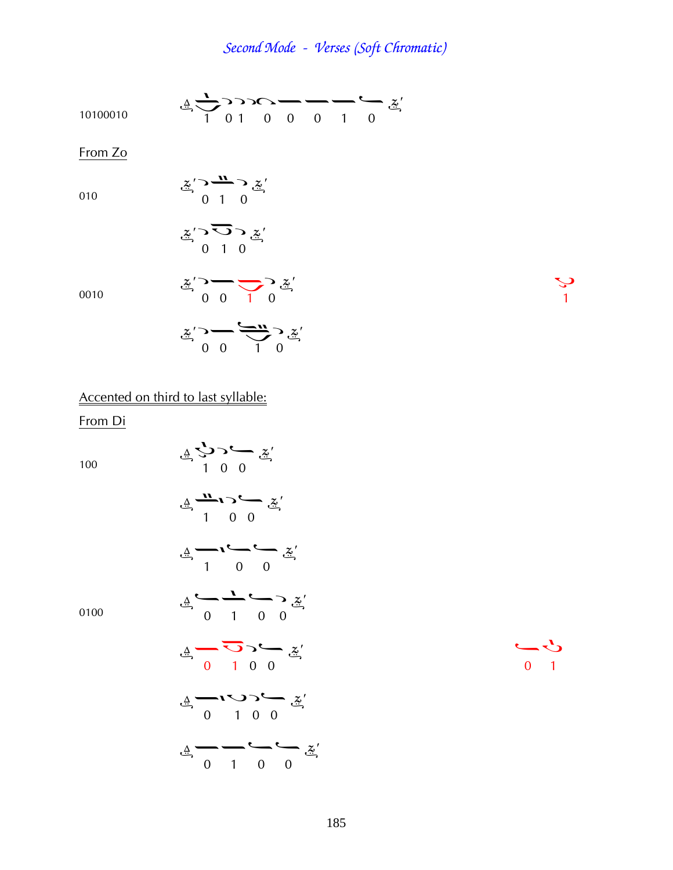$\frac{3}{4}$   $\frac{3}{4}$   $\frac{3}{4}$   $\frac{3}{4}$   $\frac{3}{4}$   $\frac{3}{4}$   $\frac{3}{4}$   $\frac{3}{4}$   $\frac{3}{4}$   $\frac{3}{4}$   $\frac{3}{4}$   $\frac{3}{4}$   $\frac{3}{4}$   $\frac{3}{4}$   $\frac{3}{4}$   $\frac{3}{4}$   $\frac{3}{4}$   $\frac{3}{4}$   $\frac{3}{4}$   $\frac{3}{4}$   $\frac{3}{4}$   $\frac{3}{4}$ 

$$
\mathcal{L}_{\mathcal{L}} \longrightarrow \mathcal{L}_{\mathcal{L}} \longrightarrow \mathcal{L}_{\mathcal{L}} \longrightarrow \mathcal{L}_{\mathcal{L}} \longrightarrow \mathcal{L}_{\mathcal{L}} \mathcal{L}_{\mathcal{L}} \longrightarrow \mathcal{L}_{\mathcal{L}} \mathcal{L}_{\mathcal{L}} \longrightarrow \mathcal{L}_{\mathcal{L}} \mathcal{L}_{\mathcal{L}} \longrightarrow \mathcal{L}_{\mathcal{L}} \mathcal{L}_{\mathcal{L}} \longrightarrow \mathcal{L}_{\mathcal{L}} \mathcal{L}_{\mathcal{L}} \longrightarrow \mathcal{L}_{\mathcal{L}} \mathcal{L}_{\mathcal{L}} \longrightarrow \mathcal{L}_{\mathcal{L}} \mathcal{L}_{\mathcal{L}} \longrightarrow \mathcal{L}_{\mathcal{L}} \mathcal{L}_{\mathcal{L}} \longrightarrow \mathcal{L}_{\mathcal{L}} \mathcal{L}_{\mathcal{L}} \longrightarrow \mathcal{L}_{\mathcal{L}} \mathcal{L}_{\mathcal{L}} \longrightarrow \mathcal{L}_{\mathcal{L}} \mathcal{L}_{\mathcal{L}} \longrightarrow \mathcal{L}_{\mathcal{L}} \mathcal{L}_{\mathcal{L}} \longrightarrow \mathcal{L}_{\mathcal{L}} \mathcal{L}_{\mathcal{L}} \longrightarrow \mathcal{L}_{\mathcal{L}} \mathcal{L}_{\mathcal{L}} \longrightarrow \mathcal{L}_{\mathcal{L}} \mathcal{L}_{\mathcal{L}} \longrightarrow \mathcal{L}_{\mathcal{L}} \mathcal{L}_{\mathcal{L}} \longrightarrow \mathcal{L}_{\mathcal{L}} \mathcal{L}_{\mathcal{L}} \longrightarrow \mathcal{L}_{\mathcal{L}} \mathcal{L}_{\mathcal{L}} \longrightarrow \mathcal{L}_{\mathcal{L}} \mathcal{L}_{\mathcal{L}} \longrightarrow \mathcal{L}_{\mathcal{L}} \mathcal{L}_{\mathcal{L}} \longrightarrow \mathcal{L}_{\mathcal{L}} \mathcal{L}_{\mathcal{L}} \longrightarrow \mathcal{L}_{\mathcal{L}} \mathcal{L}_{\mathcal{L}} \longrightarrow \mathcal{L}_{\mathcal{L}} \mathcal{L}_{\mathcal{L}} \longrightarrow \mathcal{L}_{\mathcal{L}} \mathcal{L}_{\mathcal{L}} \longrightarrow \mathcal{L}_{\mathcal{L}} \mathcal{L}_{\mathcal{L}} \longrightarrow \mathcal{L}_{\mathcal{L}} \mathcal{L}_{\mathcal{L}} \longrightarrow \mathcal{L}_{\mathcal{L}} \mathcal{L}_{\mathcal{L}} \longrightarrow \math
$$

From Zo

010

$$
\frac{z}{2} \sum_{i=1}^{n} \frac{z_i}{2}
$$

$$
\mathcal{Z}' \supseteq \overline{\bigcirc} \supseteq \mathcal{Z}'
$$

0010

$$
\ddot{\mathscr{Z}}\mathscr{S}\longrightarrow \underbrace{\mathscr{S}\mathscr{W}}_{1\ 0}\mathscr{S}\mathscr{Z}
$$

Accented on third to last syllable: From Di

100

$$
\frac{1}{4} \sum_{i=1}^{n} \sum_{j=1}^{n} \frac{z^{j}}{j}
$$

 $\begin{array}{c}\n\Delta \\
\Delta \\
\Delta\n\end{array}$ 

0100

$$
\frac{1}{4} \frac{1}{1} \frac{1}{1} \frac{1}{1} \frac{1}{1} \frac{1}{1} \frac{1}{1} \frac{1}{1} \frac{1}{1} \frac{1}{1} \frac{1}{1} \frac{1}{1} \frac{1}{1} \frac{1}{1} \frac{1}{1} \frac{1}{1} \frac{1}{1} \frac{1}{1} \frac{1}{1} \frac{1}{1} \frac{1}{1} \frac{1}{1} \frac{1}{1} \frac{1}{1} \frac{1}{1} \frac{1}{1} \frac{1}{1} \frac{1}{1} \frac{1}{1} \frac{1}{1} \frac{1}{1} \frac{1}{1} \frac{1}{1} \frac{1}{1} \frac{1}{1} \frac{1}{1} \frac{1}{1} \frac{1}{1} \frac{1}{1} \frac{1}{1} \frac{1}{1} \frac{1}{1} \frac{1}{1} \frac{1}{1} \frac{1}{1} \frac{1}{1} \frac{1}{1} \frac{1}{1} \frac{1}{1} \frac{1}{1} \frac{1}{1} \frac{1}{1} \frac{1}{1} \frac{1}{1} \frac{1}{1} \frac{1}{1} \frac{1}{1} \frac{1}{1} \frac{1}{1} \frac{1}{1} \frac{1}{1} \frac{1}{1} \frac{1}{1} \frac{1}{1} \frac{1}{1} \frac{1}{1} \frac{1}{1} \frac{1}{1} \frac{1}{1} \frac{1}{1} \frac{1}{1} \frac{1}{1} \frac{1}{1} \frac{1}{1} \frac{1}{1} \frac{1}{1} \frac{1}{1} \frac{1}{1} \frac{1}{1} \frac{1}{1} \frac{1}{1} \frac{1}{1} \frac{1}{1} \frac{1}{1} \frac{1}{1} \frac{1}{1} \frac{1}{1} \frac{1}{1} \frac{1}{1} \frac{1}{1} \frac{1}{1} \frac{1}{1} \frac{1}{1} \frac{1}{1} \frac{1}{1} \frac{1}{1} \frac{1}{1} \frac{1}{1} \frac{1}{1} \frac{1}{1} \frac{1}{1} \frac{1}{1} \frac{1}{1} \frac{1}{1} \frac{1}{1} \frac{1}{1} \frac{1}{1} \frac{1}{1} \frac{1
$$

 $\Delta$ 

 $\begin{array}{c} 2 \rightarrow 0 \\ 0 \rightarrow 1 \end{array}$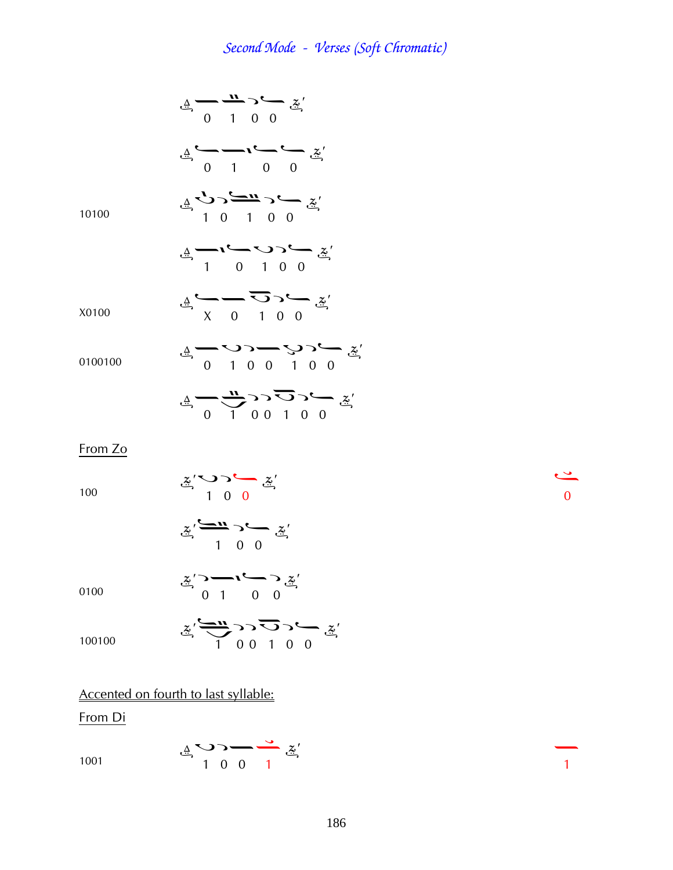$\frac{4}{x}$   $\frac{11}{x}$   $\frac{6}{x}$  $\begin{array}{ccc}\n\stackrel{\Delta}{\longrightarrow} & \stackrel{\sim}{\longrightarrow} & \stackrel{\sim}{\longrightarrow} & \stackrel{\sim}{\longrightarrow} & \stackrel{\sim}{\longrightarrow} \\
0 & 1 & 0 & 0\n\end{array}$ 10100  $\frac{4}{9}$   $\frac{6}{10}$   $\frac{6}{10}$   $\frac{1}{10}$   $\frac{1}{10}$   $\frac{6}{10}$  $\underline{A}$   $\overline{A}$   $\overline{C}$   $\overline{C}$   $\overline{C}$   $\overline{C}$   $\overline{C}$   $\overline{C}$   $\overline{C}$   $\overline{C}$   $\overline{C}$   $\overline{C}$   $\overline{C}$   $\overline{C}$   $\overline{C}$   $\overline{C}$   $\overline{C}$   $\overline{C}$   $\overline{C}$   $\overline{C}$   $\overline{C}$   $\overline{C}$   $\overline{C}$   $\overline{C}$   $\overline{$ X0100  $\underline{A} \longrightarrow \overline{O} \longrightarrow \underline{Z}'$ 0100100  $\frac{1}{2}$   $\frac{1}{2}$   $\frac{1}{2}$   $\frac{1}{2}$   $\frac{1}{2}$   $\frac{1}{2}$   $\frac{1}{2}$   $\frac{1}{2}$   $\frac{1}{2}$   $\frac{1}{2}$   $\frac{1}{2}$   $\frac{1}{2}$   $\frac{1}{2}$   $\frac{1}{2}$   $\frac{1}{2}$   $\frac{1}{2}$   $\frac{1}{2}$   $\frac{1}{2}$   $\frac{1}{2}$   $\frac{1}{2}$   $\frac{1}{2}$   $\frac{1}{2}$   $\frac{4}{9}$   $\frac{1}{100100}$   $\frac{2}{9}$ 

From Zo

100

 $\frac{2}{\pi}$  1 0 0

$$
\tilde{\mathscr{Z}}' \xrightarrow{C \longrightarrow \mathbf{L} \longrightarrow C \longrightarrow \tilde{\mathscr{Z}}' \longrightarrow C \longrightarrow \tilde{\mathscr{Z}}'
$$

 $\frac{x}{2}$ ; and  $\frac{x}{2}$ <br>0 1 0 0

$$
0\\ 1\\0\\0
$$

$$
\ddot{z}' \xrightarrow{100100} \ddot{z}' \xrightarrow{1} 0 \qquad 0 \qquad 0
$$

### Accented on fourth to last syllable:

From Di

1001

$$
\mathbf{A} \rightarrow \mathbf{A} \rightarrow \mathbf{A} \rightarrow \mathbf{A} \rightarrow \mathbf{A} \rightarrow \mathbf{A} \rightarrow \mathbf{A} \rightarrow \mathbf{A} \rightarrow \mathbf{A} \rightarrow \mathbf{A} \rightarrow \mathbf{A} \rightarrow \mathbf{A} \rightarrow \mathbf{A} \rightarrow \mathbf{A} \rightarrow \mathbf{A} \rightarrow \mathbf{A} \rightarrow \mathbf{A} \rightarrow \mathbf{A} \rightarrow \mathbf{A} \rightarrow \mathbf{A} \rightarrow \mathbf{A} \rightarrow \mathbf{A} \rightarrow \mathbf{A} \rightarrow \mathbf{A} \rightarrow \mathbf{A} \rightarrow \mathbf{A} \rightarrow \mathbf{A} \rightarrow \mathbf{A} \rightarrow \mathbf{A} \rightarrow \mathbf{A} \rightarrow \mathbf{A} \rightarrow \mathbf{A} \rightarrow \mathbf{A} \rightarrow \mathbf{A} \rightarrow \mathbf{A} \rightarrow \mathbf{A} \rightarrow \mathbf{A} \rightarrow \mathbf{A} \rightarrow \mathbf{A} \rightarrow \mathbf{A} \rightarrow \mathbf{A} \rightarrow \mathbf{A} \rightarrow \mathbf{A} \rightarrow \mathbf{A} \rightarrow \mathbf{A} \rightarrow \mathbf{A} \rightarrow \mathbf{A} \rightarrow \mathbf{A} \rightarrow \mathbf{A} \rightarrow \mathbf{A} \rightarrow \mathbf{A} \rightarrow \mathbf{A} \rightarrow \mathbf{A} \rightarrow \mathbf{A} \rightarrow \mathbf{A} \rightarrow \mathbf{A} \rightarrow \mathbf{A} \rightarrow \mathbf{A} \rightarrow \mathbf{A} \rightarrow \mathbf{A} \rightarrow \mathbf{A} \rightarrow \mathbf{A} \rightarrow \mathbf{A} \rightarrow \mathbf{A} \rightarrow \mathbf{A} \rightarrow \mathbf{A} \rightarrow \mathbf{A} \rightarrow \mathbf{A} \rightarrow \mathbf{A} \rightarrow \mathbf{A} \rightarrow \mathbf{A} \rightarrow \mathbf{A} \rightarrow \mathbf{A} \rightarrow \mathbf{A} \rightarrow \mathbf{A} \rightarrow \mathbf{A} \rightarrow \mathbf{A} \rightarrow \mathbf{A} \rightarrow \mathbf{A} \rightarrow \mathbf{A} \rightarrow \mathbf{A} \rightarrow \mathbf{A} \rightarrow \mathbf{A} \rightarrow \mathbf{A} \rightarrow \mathbf{A} \rightarrow \mathbf{A} \rightarrow \mathbf{A} \rightarrow \mathbf{A} \rightarrow \mathbf{A} \rightarrow \mathbf{A} \rightarrow \mathbf{A} \rightarrow \mathbf{A} \rightarrow \mathbf{A} \rightarrow \mathbf{A} \rightarrow \mathbf{A} \rightarrow
$$

 $\frac{3}{2}$  0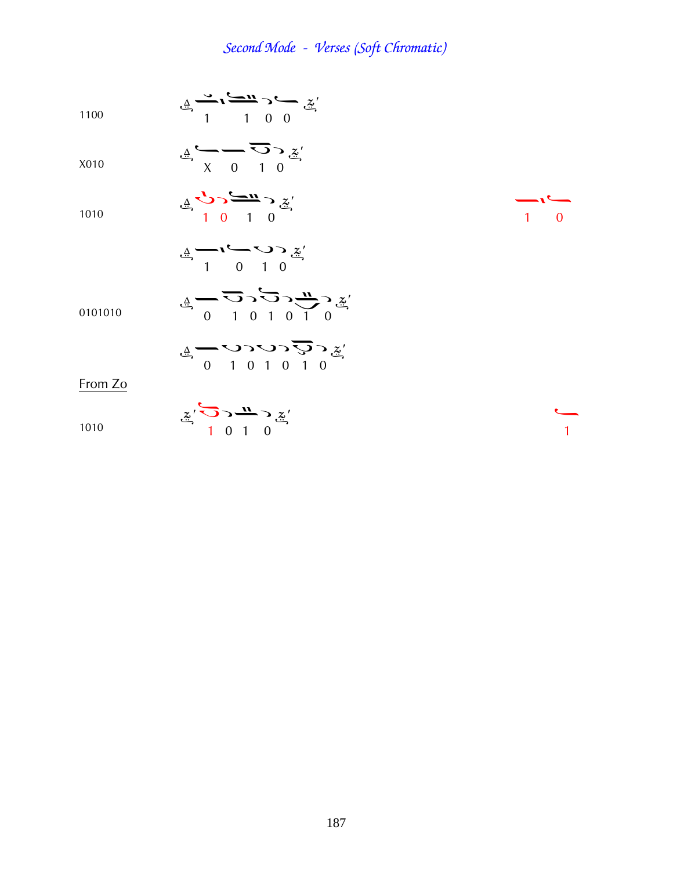$$
\frac{4}{100} \xrightarrow{3} \frac{1}{1} \xrightarrow{4} \frac{3}{1} \frac{3}{1} \frac{1}{1} \frac{3}{1} \frac{3}{1} \frac{3}{1} \frac{3}{1} \frac{3}{1} \frac{3}{1} \frac{3}{1} \frac{3}{1} \frac{3}{1} \frac{3}{1} \frac{3}{1} \frac{3}{1} \frac{3}{1} \frac{3}{1} \frac{3}{1} \frac{3}{1} \frac{3}{1} \frac{3}{1} \frac{3}{1} \frac{3}{1} \frac{3}{1} \frac{3}{1} \frac{3}{1} \frac{3}{1} \frac{3}{1} \frac{3}{1} \frac{3}{1} \frac{3}{1} \frac{3}{1} \frac{3}{1} \frac{3}{1} \frac{3}{1} \frac{3}{1} \frac{3}{1} \frac{3}{1} \frac{3}{1} \frac{3}{1} \frac{3}{1} \frac{3}{1} \frac{3}{1} \frac{3}{1} \frac{3}{1} \frac{3}{1} \frac{3}{1} \frac{3}{1} \frac{3}{1} \frac{3}{1} \frac{3}{1} \frac{3}{1} \frac{3}{1} \frac{3}{1} \frac{3}{1} \frac{3}{1} \frac{3}{1} \frac{3}{1} \frac{3}{1} \frac{3}{1} \frac{3}{1} \frac{3}{1} \frac{3}{1} \frac{3}{1} \frac{3}{1} \frac{3}{1} \frac{3}{1} \frac{3}{1} \frac{3}{1} \frac{3}{1} \frac{3}{1} \frac{3}{1} \frac{3}{1} \frac{3}{1} \frac{3}{1} \frac{3}{1} \frac{3}{1} \frac{3}{1} \frac{3}{1} \frac{3}{1} \frac{3}{1} \frac{3}{1} \frac{3}{1} \frac{3}{1} \frac{3}{1} \frac{3}{1} \frac{3}{1} \frac{3}{1} \frac{3}{1} \frac{3}{1} \frac{3}{1} \frac{3}{1} \frac{3}{1} \frac{3}{1} \frac{3}{1} \frac{3}{1} \frac{3}{1} \frac{3}{1} \frac{3}{1} \frac{3}{1} \frac{3}{1} \frac{3}{1} \frac{3}{1} \frac{3}{1} \frac{3
$$

X010

1010

$$
\mathcal{L} \rightarrow \mathcal{L} \rightarrow \mathcal{L} \rightarrow \mathcal{Z}'
$$

 $\underline{A} \longrightarrow \overline{O} \rightarrow \underline{Z}'$ 

$$
\underline{\underline{\mathbf{A}}}\longrightarrow\begin{array}{c}\n\begin{array}{ccc}\n\bullet & \bullet & \bullet & \bullet \\
\hline\n\bullet & 1 & 0 & 1 & 0\n\end{array}\n\end{array}
$$

$$
\tt0101010
$$

$$
\mathcal{L} \rightarrow 0 \quad 1 \quad 0 \quad 1 \quad 0
$$

 $\frac{4}{9}$  (101010)

From Zo

$$
\underline{z}' \overbrace{1 \ 0 \ 1} \overbrace{1 \ 0} \underline{w} \overbrace{z}'
$$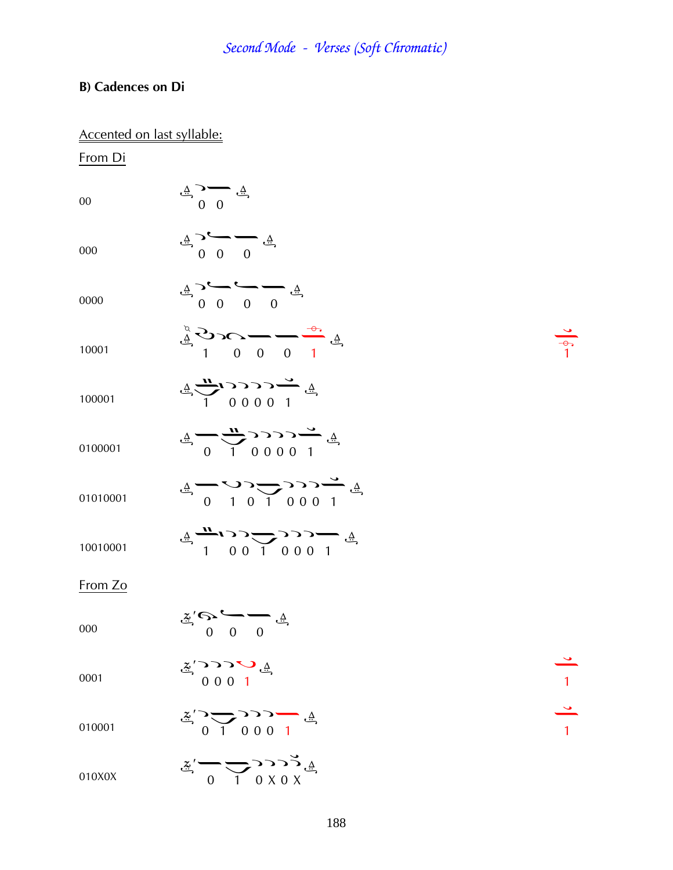### **B) Cadences on Di**

|          | Accented on last syllable:                                                                                                                  |                      |
|----------|---------------------------------------------------------------------------------------------------------------------------------------------|----------------------|
| From Di  |                                                                                                                                             |                      |
| 00       | $\ddot{\mathcal{F}}$ $\frac{0}{\sqrt{2}}$ $\ddot{\mathcal{F}}$                                                                              |                      |
| 000      | $\frac{4}{9}$ 0 0 0                                                                                                                         |                      |
| 0000     | $\frac{4}{4}$ $\frac{6}{4}$ $\frac{6}{4}$ $\frac{6}{4}$                                                                                     |                      |
| 10001    | $\frac{4}{9}$ $\frac{4}{9}$ $\frac{1}{9}$ $\frac{1}{1}$ $\frac{1}{1}$ $\frac{1}{1}$ $\frac{1}{1}$                                           | $\frac{1}{\sqrt{2}}$ |
| 100001   | $\frac{1}{2}$ $\frac{1}{2}$ $\frac{1}{2}$ $\frac{1}{2}$ $\frac{1}{2}$ $\frac{1}{2}$ $\frac{1}{2}$ $\frac{1}{2}$ $\frac{1}{2}$ $\frac{1}{2}$ |                      |
| 0100001  | $\frac{4}{4}$ - $\frac{1}{4}$ 0000 1                                                                                                        |                      |
| 01010001 | $\frac{4}{4}$ (10001)                                                                                                                       |                      |
| 10010001 | $\frac{4}{4}$ $\frac{1}{100}$ $\frac{1}{10001}$                                                                                             |                      |
| From Zo  |                                                                                                                                             |                      |
| 000      | $\tilde{\mathbf{F}} = \begin{pmatrix} \mathbf{F} & \mathbf{F} \\ \mathbf{F} & \mathbf{F} \\ \mathbf{F} & \mathbf{F} \end{pmatrix}$          |                      |
| 0001     | $\frac{4}{5}$ O O O 1                                                                                                                       |                      |
| 010001   | $\frac{2}{3}$ $\frac{3}{1}$ 000 1                                                                                                           | $\frac{1}{2}$        |
| 010X0X   | $\ddot{z}'$ $\rightarrow$ $\rightarrow$ $\rightarrow$ $\rightarrow$ $\rightarrow$ $\ddot{z}$                                                |                      |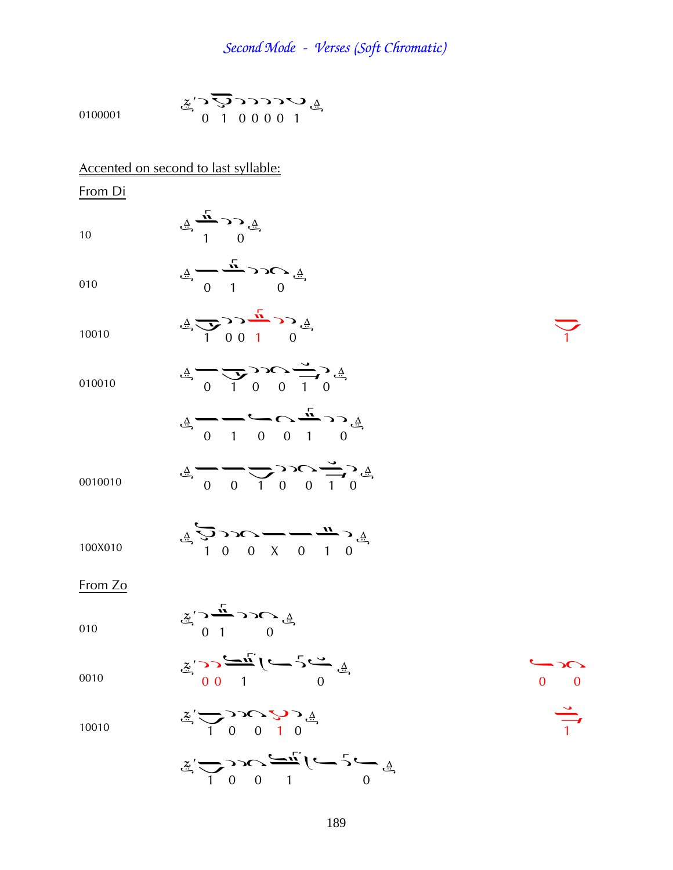| 0100001 | $\sum_{i=1}^{n}$ $\sum_{i=1}^{n}$ $\sum_{i=1}^{n}$ $\sum_{i=1}^{n}$ $\sum_{i=1}^{n}$ $\sum_{i=1}^{n}$ $\sum_{i=1}^{n}$ $\sum_{i=1}^{n}$                                                                                                                                                                                                     |               |
|---------|---------------------------------------------------------------------------------------------------------------------------------------------------------------------------------------------------------------------------------------------------------------------------------------------------------------------------------------------|---------------|
|         | Accented on second to last syllable:                                                                                                                                                                                                                                                                                                        |               |
| From Di |                                                                                                                                                                                                                                                                                                                                             |               |
| 10      | $\frac{4}{4}$ $\frac{1}{1}$ 0                                                                                                                                                                                                                                                                                                               |               |
| 010     | $\frac{1}{4}$ $\frac{1}{10}$ $\frac{1}{10}$                                                                                                                                                                                                                                                                                                 |               |
| 10010   | $\frac{4}{4}$ $\frac{1}{1001}$ $\frac{1}{100}$                                                                                                                                                                                                                                                                                              |               |
| 010010  | $\begin{array}{ccc}\n\frac{1}{2} & 0 & 1 & 0 \\ \frac{1}{2} & -\frac{1}{2} & 0 & 0 & 1 \\ \frac{1}{2} & -\frac{1}{2} & 0 & \frac{1}{2}\n\end{array}$                                                                                                                                                                                        |               |
|         |                                                                                                                                                                                                                                                                                                                                             |               |
| 0010010 | $\frac{1}{4}$ $\frac{1}{4}$ $\frac{1}{4}$ $\frac{1}{4}$ $\frac{1}{4}$ $\frac{1}{4}$ $\frac{1}{4}$ $\frac{1}{4}$ $\frac{1}{4}$ $\frac{1}{4}$                                                                                                                                                                                                 |               |
| 100X010 | $\frac{4}{4}$ $\sum_{1}^{5}$ $\sum_{1}^{5}$ $\sum_{1}^{6}$ $\sum_{1}^{7}$ $\sum_{1}^{6}$ $\sum_{1}^{7}$ $\sum_{1}^{7}$ $\sum_{1}^{7}$ $\sum_{1}^{7}$ $\sum_{1}^{7}$                                                                                                                                                                         |               |
| From Zo |                                                                                                                                                                                                                                                                                                                                             |               |
| 010     | $\ddot{\mathscr{F}}_{\mathscr{F}} \rightarrow \frac{\ddot{\psi}}{1} \rightarrow \mathscr{F} \rightarrow \mathscr{F}$                                                                                                                                                                                                                        |               |
| 0010    | $\sum_{i=1}^{n} \sum_{i=1}^{n} \sum_{j=1}^{n} \sum_{j=1}^{n} \sum_{j=1}^{n} \sum_{j=1}^{n} \sum_{j=1}^{n} \sum_{j=1}^{n} \sum_{j=1}^{n} \sum_{j=1}^{n} \sum_{j=1}^{n} \sum_{j=1}^{n} \sum_{j=1}^{n} \sum_{j=1}^{n} \sum_{j=1}^{n} \sum_{j=1}^{n} \sum_{j=1}^{n} \sum_{j=1}^{n} \sum_{j=1}^{n} \sum_{j=1}^{n} \sum_{j=1}^{n} \sum_{j=1}^{n}$ | $0\qquad 0$   |
| 10010   | $\mathbb{Z}$ $\sum_{1}^{6}$ $\sum_{1}^{6}$ $\sum_{1}^{6}$ $\sum_{1}^{6}$ $\mathbb{Z}$ $\sum_{1}^{6}$ $\mathbb{Z}$ $\sum_{1}^{6}$ $\mathbb{Z}$ $\sum_{1}^{6}$ $\mathbb{Z}$ $\sum_{1}^{6}$ $\mathbb{Z}$ $\sum_{1}^{6}$ $\mathbb{Z}$ $\sum_{1}^{6}$ $\mathbb{Z}$ $\sum_{1}^{6}$ $\mathbb{Z}$ $\sum_{1}^{6}$ $\mathbb{Z}$                       | $\frac{9}{1}$ |
|         | $\frac{1}{2}$ $\frac{1}{2}$ $\frac{1}{2}$ $\frac{1}{2}$ $\frac{1}{2}$ $\frac{1}{2}$ $\frac{1}{2}$ $\frac{1}{2}$ $\frac{1}{2}$ $\frac{1}{2}$ $\frac{1}{2}$ $\frac{1}{2}$ $\frac{1}{2}$ $\frac{1}{2}$ $\frac{1}{2}$ $\frac{1}{2}$ $\frac{1}{2}$ $\frac{1}{2}$ $\frac{1}{2}$ $\frac{1}{2}$ $\frac{1}{2}$ $\frac{1}{2}$                         |               |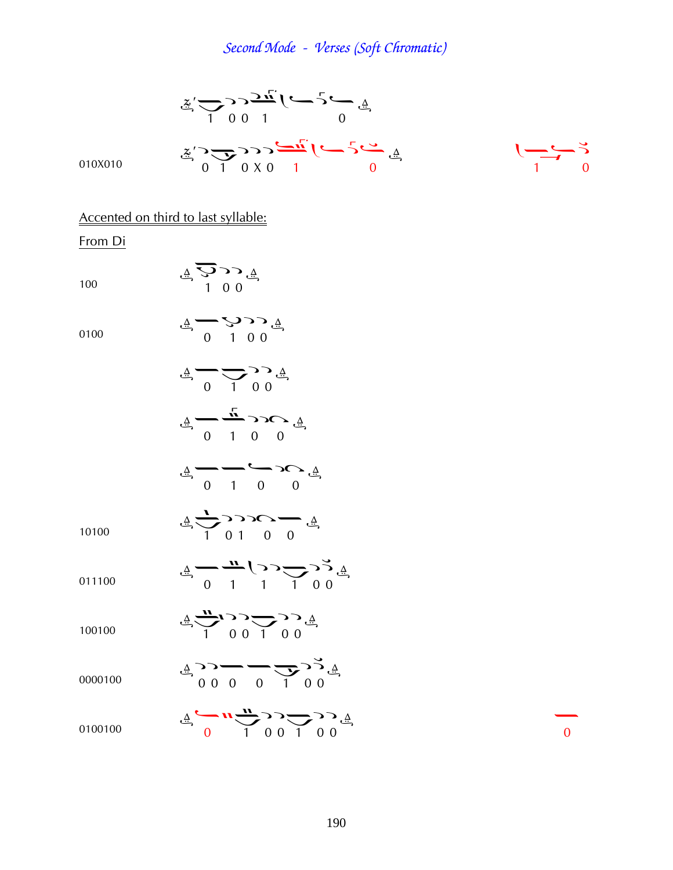$$
\frac{x}{2} = 332\frac{x}{1} = 33\frac{1}{0}
$$
\n010X010  
\n
$$
\frac{x}{0} = \frac{3332\frac{1}{0}}{0} = 333\frac{1}{0}
$$
\n
$$
\frac{4}{0} = 333\frac{1}{0}
$$
\n
$$
\frac{4}{1} = 333\frac{1}{0}
$$
\n100  
\n
$$
\frac{4}{0} = 333\frac{1}{0}
$$
\n
$$
\frac{4}{0} = 333\frac{1}{0}
$$
\n
$$
\frac{4}{0} = \frac{3333\frac{1}{0}}{0} = \frac{4}{0}
$$
\n
$$
\frac{4}{0} = \frac{3333\frac{1}{0}}{0} = \frac{4}{0}
$$
\n
$$
\frac{4}{0} = \frac{1}{0} = 333\frac{1}{0}
$$
\n
$$
\frac{4}{0} = \frac{1}{0} = 333\frac{1}{0}
$$

 $\frac{4}{4}$   $\frac{4}{1}$   $\frac{6}{1}$   $\frac{6}{1}$ 

10100

$$
\mathcal{L}_{\mathcal{L}} \longrightarrow \mathcal{L}_{\mathcal{L}} \longrightarrow \mathcal{L}_{\mathcal{L}} \longrightarrow \mathcal{L}_{\mathcal{L}} \longrightarrow \mathcal{L}_{\mathcal{L}}
$$

$$
\underbrace{A}_{0} \underbrace{-}_{1} \underbrace{1}_{1} \underbrace{1}_{1} \underbrace{1}_{0} \underbrace{0}_{1}
$$

100100  $\frac{4}{9}$   $\frac{1}{1}$   $\frac{0}{1}$   $\frac{1}{1}$   $\frac{0}{1}$   $\frac{0}{1}$ 

$$
\begin{array}{ccc}\n\frac{\Delta}{2} & \Delta & \Delta & \Delta \\
\Delta & 0 & 0 & 0 & 0 \\
0 & 0 & 0 & 0 & 0\n\end{array}
$$

$$
\mathcal{L} = \frac{1}{2} \sum_{i=1}^{N} \sum_{j=1}^{N} \sum_{j=1}^{N} \sum_{j=1}^{N} \mathcal{L} \left( \frac{1}{2} \sum_{j=1}^{N} \frac{1}{2} \right)
$$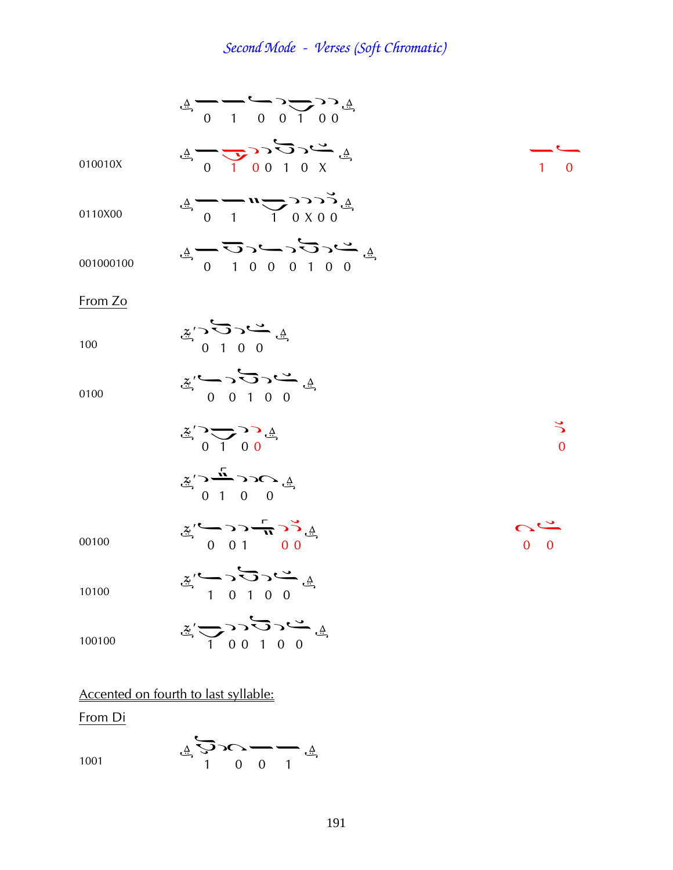$$
\frac{4}{4} = \frac{1}{1} = \frac{1}{1} = \frac{1}{1} = \frac{1}{1} = \frac{1}{1} = \frac{1}{1} = \frac{1}{1} = \frac{1}{1} = \frac{1}{1} = \frac{1}{1} = \frac{1}{1} = \frac{1}{1} = \frac{1}{1} = \frac{1}{1} = \frac{1}{1} = \frac{1}{1} = \frac{1}{1} = \frac{1}{1} = \frac{1}{1} = \frac{1}{1} = \frac{1}{1} = \frac{1}{1} = \frac{1}{1} = \frac{1}{1} = \frac{1}{1} = \frac{1}{1} = \frac{1}{1} = \frac{1}{1} = \frac{1}{1} = \frac{1}{1} = \frac{1}{1} = \frac{1}{1} = \frac{1}{1} = \frac{1}{1} = \frac{1}{1} = \frac{1}{1} = \frac{1}{1} = \frac{1}{1} = \frac{1}{1} = \frac{1}{1} = \frac{1}{1} = \frac{1}{1} = \frac{1}{1} = \frac{1}{1} = \frac{1}{1} = \frac{1}{1} = \frac{1}{1} = \frac{1}{1} = \frac{1}{1} = \frac{1}{1} = \frac{1}{1} = \frac{1}{1} = \frac{1}{1} = \frac{1}{1} = \frac{1}{1} = \frac{1}{1} = \frac{1}{1} = \frac{1}{1} = \frac{1}{1} = \frac{1}{1} = \frac{1}{1} = \frac{1}{1} = \frac{1}{1} = \frac{1}{1} = \frac{1}{1} = \frac{1}{1} = \frac{1}{1} = \frac{1}{1} = \frac{1}{1} = \frac{1}{1} = \frac{1}{1} = \frac{1}{1} = \frac{1}{1} = \frac{1}{1} = \frac{1}{1} = \frac{1}{1} = \frac{1}{1} = \frac{1}{1} = \frac{1}{1} = \frac{1}{1} = \frac{1}{1} = \frac{1}{1} = \frac{1}{1} = \frac{1}{1} = \frac{1}{1} = \frac{1}{1} = \frac{1}{1} = \frac{1}{1} = \frac{1}{1} = \frac{1}{1} = \frac{1}{1} = \frac{1}{1} = \frac{1}{1} = \frac{1}{1} =
$$

From Di

$$
\mathbf{A} \sum_{i=1}^{n} \sum_{j=1}^{n} \mathbf{C} \mathbf{C} \sum_{j=1}^{n} \mathbf{A} \mathbf{C} \mathbf{C} \mathbf{C} \mathbf{A} \mathbf{C} \mathbf{A} \mathbf{C} \mathbf{A} \mathbf{C} \mathbf{A} \mathbf{C} \mathbf{A} \mathbf{C} \mathbf{A} \mathbf{C} \mathbf{A} \mathbf{C} \mathbf{A} \mathbf{C} \mathbf{A} \mathbf{C} \mathbf{A} \mathbf{C} \mathbf{A} \mathbf{C} \mathbf{A} \mathbf{C} \mathbf{A} \mathbf{C} \mathbf{A} \mathbf{C} \mathbf{A} \mathbf{C} \mathbf{A} \mathbf{C} \mathbf{A} \mathbf{C} \mathbf{A} \mathbf{C} \mathbf{A} \mathbf{C} \mathbf{A} \mathbf{C} \mathbf{A} \mathbf{C} \mathbf{A} \mathbf{C} \mathbf{A} \mathbf{C} \mathbf{A} \mathbf{C} \mathbf{A} \mathbf{C} \mathbf{A} \mathbf{C} \mathbf{A} \mathbf{C} \mathbf{A} \mathbf{C} \mathbf{A} \mathbf{C} \mathbf{A} \mathbf{C} \mathbf{A} \mathbf{C} \mathbf{A} \mathbf{C} \mathbf{A} \mathbf{C} \mathbf{A} \mathbf{C} \mathbf{A} \mathbf{C} \mathbf{A} \mathbf{C} \mathbf{A} \mathbf{C} \mathbf{A} \mathbf{C} \mathbf{A} \mathbf{C} \mathbf{A} \mathbf{C} \mathbf{A} \mathbf{C} \mathbf{A} \mathbf{C} \mathbf{A} \mathbf{C} \mathbf{A} \mathbf{C} \mathbf{A} \mathbf{C} \mathbf{A} \mathbf{C} \mathbf{A} \mathbf{C} \mathbf{A} \mathbf{C} \mathbf{A} \mathbf{C} \mathbf{A} \mathbf{C} \mathbf{A} \mathbf{C} \mathbf{A} \mathbf{C} \mathbf{A} \mathbf{C} \mathbf{A} \mathbf{C} \mathbf{A} \mathbf{C} \mathbf{A} \mathbf{C} \mathbf{A} \mathbf{C} \mathbf{
$$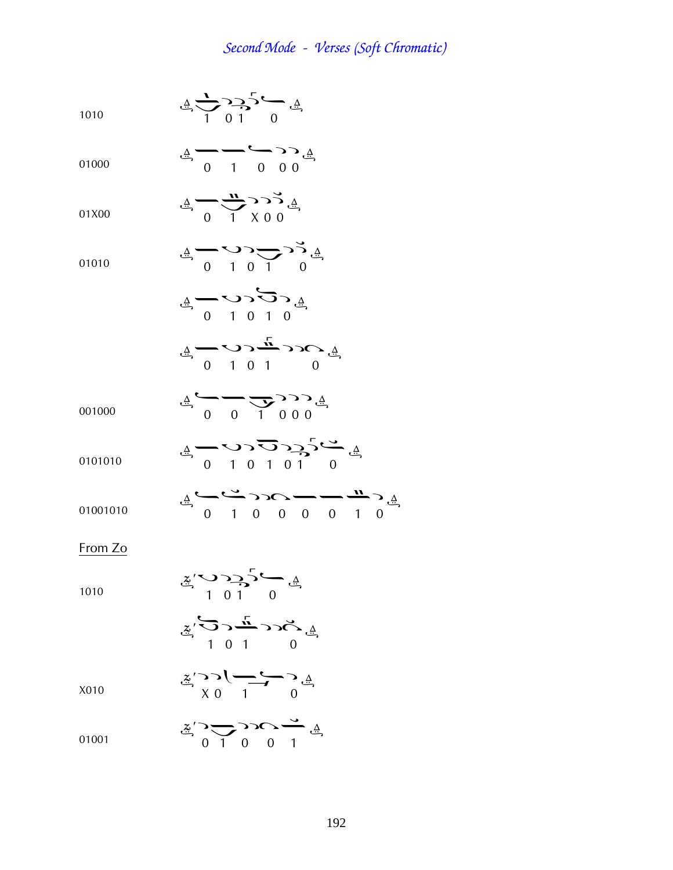$$
\stackrel{\triangle}{\longrightarrow} \stackrel{\triangle}{\longrightarrow} \stackrel{\triangle}{\longrightarrow} \stackrel{\triangle}{\longrightarrow} \stackrel{\triangle}{\longrightarrow} \stackrel{\triangle}{\longrightarrow}
$$

$$
\underline{\mathbf{A}}_{01000} \qquad \qquad \underline{\mathbf{A}}_{0100} \qquad \qquad \underline{\mathbf{A}}_{1000} \qquad \qquad \underline{\mathbf{A}}_{11000}
$$

$$
\stackrel{\Delta}{\longrightarrow}
$$
 01X00 
$$
\stackrel{\Delta}{\longrightarrow}
$$
 0 
$$
\stackrel{\Delta}{\longrightarrow}
$$
 0 0 X00

01010 
$$
\frac{4}{10} \cdot \frac{10}{10} = \frac{10}{10}
$$

$$
\sum_{i=1}^{n} \mathcal{L} \mathcal{L} \mathcal{L} \mathcal{L} \longrightarrow \sum_{i=1}^{n} \frac{1}{n}
$$

$$
\begin{array}{cccc}\n\frac{\Delta}{2} & \Delta & \Delta & \Delta & \Delta & \Delta \\
\frac{\Delta}{2} & 0 & 1 & 0 & 0 & 0 \\
0 & 0 & 0 & 0 & 0 & 0\n\end{array}
$$

$$
\stackrel{\text{0.1000}}{0} \qquad \stackrel{\text{0.1000}}{0} \qquad \qquad \stackrel{\text{0.1000}}{0} \qquad \qquad \qquad \text{0.1000}
$$

¤Þ¦Þ¦° ¤

$$
\tt0101010
$$

$$
\mathbf{A} \leftarrow \mathbf{C} \leftarrow \mathbf{A} \leftarrow \mathbf{A} \mathbf{A} \mathbf{A} \mathbf{A} \mathbf{A} \mathbf{A} \mathbf{A} \mathbf{A} \mathbf{A} \mathbf{A} \mathbf{A} \mathbf{A} \mathbf{A} \mathbf{A} \mathbf{A} \mathbf{A} \mathbf{A} \mathbf{A} \mathbf{A} \mathbf{A} \mathbf{A} \mathbf{A} \mathbf{A} \mathbf{A} \mathbf{A} \mathbf{A} \mathbf{A} \mathbf{A} \mathbf{A} \mathbf{A} \mathbf{A} \mathbf{A} \mathbf{A} \mathbf{A} \mathbf{A} \mathbf{A} \mathbf{A} \mathbf{A} \mathbf{A} \mathbf{A} \mathbf{A} \mathbf{A} \mathbf{A} \mathbf{A} \mathbf{A} \mathbf{A} \mathbf{A} \mathbf{A} \mathbf{A} \mathbf{A} \mathbf{A} \mathbf{A} \mathbf{A} \mathbf{A} \mathbf{A} \mathbf{A} \mathbf{A} \mathbf{A} \mathbf{A} \mathbf{A} \mathbf{A} \mathbf{A} \mathbf{A} \mathbf{A} \mathbf{A} \mathbf{A} \mathbf{A} \mathbf{A} \mathbf{A} \mathbf{A} \mathbf{A} \mathbf{A} \mathbf{A} \mathbf{A} \mathbf{A} \mathbf{A} \mathbf{A} \mathbf{A} \mathbf{A} \mathbf{A} \mathbf{A} \mathbf{A} \mathbf{A} \mathbf{A} \mathbf{A} \mathbf{A} \mathbf{A} \mathbf{A} \mathbf{A} \mathbf{A} \mathbf{A} \mathbf{A} \mathbf{A} \mathbf{A} \mathbf{A} \mathbf{A} \mathbf{A} \mathbf{A} \mathbf{A} \mathbf{A} \mathbf{A} \mathbf{A} \mathbf{A} \mathbf{A} \mathbf{A} \mathbf{A} \mathbf{A} \mathbf{A} \mathbf{A} \mathbf{A} \mathbf{A} \mathbf{A} \mathbf{A} \mathbf{A} \mathbf{A} \mathbf{A} \mathbf{A} \mathbf{A} \mathbf{A} \mathbf{A} \mathbf{A} \mathbf{A} \
$$

From Zo

01001010

$$
\frac{2}{1} \times \frac{1}{1} \times \frac{1}{1}
$$

$$
\sum_{i=1}^{n} \sum_{j=1}^{n} \sum_{j=1}^{n} \sum_{j=1}^{n} \sum_{j=1}^{n} \sum_{j=1}^{n} \sum_{j=1}^{n} \sum_{j=1}^{n} \sum_{j=1}^{n} \sum_{j=1}^{n} \sum_{j=1}^{n} \sum_{j=1}^{n} \sum_{j=1}^{n} \sum_{j=1}^{n} \sum_{j=1}^{n} \sum_{j=1}^{n} \sum_{j=1}^{n} \sum_{j=1}^{n} \sum_{j=1}^{n} \sum_{j=1}^{n} \sum_{j=1}^{n} \sum_{j=1}^{n} \sum_{j=1}^{n} \sum_{j=1}^{n} \sum_{j=1}^{n} \sum_{j=1}^{n} \sum_{j=1}^{n} \sum_{j=1}^{n} \sum_{j=1}^{n} \sum_{j=1}^{n} \sum_{j=1}^{n} \sum_{j=1}^{n} \sum_{j=1}^{n} \sum_{j=1}^{n} \sum_{j=1}^{n} \sum_{j=1}^{n} \sum_{j=1}^{n} \sum_{j=1}^{n} \sum_{j=1}^{n} \sum_{j=1}^{n} \sum_{j=1}^{n} \sum_{j=1}^{n} \sum_{j=1}^{n} \sum_{j=1}^{n} \sum_{j=1}^{n} \sum_{j=1}^{n} \sum_{j=1}^{n} \sum_{j=1}^{n} \sum_{j=1}^{n} \sum_{j=1}^{n} \sum_{j=1}^{n} \sum_{j=1}^{n} \sum_{j=1}^{n} \sum_{j=1}^{n} \sum_{j=1}^{n} \sum_{j=1}^{n} \sum_{j=1}^{n} \sum_{j=1}^{n} \sum_{j=1}^{n} \sum_{j=1}^{n} \sum_{j=1}^{n} \sum_{j=1}^{n} \sum_{j=1}^{n} \sum_{j=1}^{n} \sum_{j=1}^{n} \sum_{j=1}^{n} \sum_{j=1}^{n} \sum_{j=1}^{n} \sum_{j=1}^{n} \sum_{j=1}^{n} \sum_{j=1}^{n} \sum_{j=1}^{n} \sum_{j=1}^{n} \sum_{j=1}^{n} \sum_{j=1}^{n} \sum_{j=1}^{n}
$$

$$
X\\0\\1\\0
$$

$$
\sum_{\substack{\Delta \\ \Delta \subset \Delta}} \sum_{\substack{\Delta \\ \Delta \subset \Delta}} \sum_{\substack{\Delta \\ \Delta \subset \Delta}} \sum_{\substack{\Delta \\ \Delta \subset \Delta}} \sum_{\substack{\Delta \\ \Delta \subset \Delta}} \sum_{\substack{\Delta \\ \Delta \subset \Delta}} \sum_{\substack{\Delta \\ \Delta \subset \Delta}} \sum_{\substack{\Delta \\ \Delta \subset \Delta}} \sum_{\substack{\Delta \\ \Delta \subset \Delta}} \sum_{\substack{\Delta \\ \Delta \subset \Delta}} \sum_{\substack{\Delta \\ \Delta \subset \Delta}} \sum_{\substack{\Delta \\ \Delta \subset \Delta}} \sum_{\substack{\Delta \\ \Delta \subset \Delta}} \sum_{\substack{\Delta \\ \Delta \subset \Delta}} \sum_{\substack{\Delta \\ \Delta \subset \Delta}} \sum_{\substack{\Delta \subset \Delta}} \sum_{\substack{\Delta \\ \Delta \subset \Delta}} \sum_{\substack{\Delta \subset \Delta}} \sum_{\substack{\Delta \\ \Delta \subset \Delta}} \sum_{\substack{\Delta \subset \Delta}} \sum_{\substack{\Delta \subset \Delta}} \sum_{\substack{\Delta \subset \Delta}} \sum_{\substack{\Delta \subset \Delta}} \sum_{\substack{\Delta \subset \Delta}} \sum_{\substack{\Delta \subset \Delta}} \sum_{\substack{\Delta \subset \Delta}} \sum_{\substack{\Delta \subset \Delta}} \sum_{\substack{\Delta \subset \Delta}} \sum_{\substack{\Delta \subset \Delta}} \sum_{\substack{\Delta \subset \Delta}} \sum_{\substack{\Delta \subset \Delta}} \sum_{\substack{\Delta \subset \Delta}} \sum_{\substack{\Delta \subset \Delta}} \sum_{\substack{\Delta \subset \Delta}} \sum_{\substack{\Delta \subset \Delta}} \sum_{\substack{\Delta \subset \Delta}} \sum_{\substack{\Delta \subset \Delta}} \sum_{\substack{\Delta \subset \Delta}} \sum_{\substack{\Delta \subset \Delta}} \sum_{\substack{\Delta \subset \Delta}} \sum_{\substack{\Delta \subset \Delta}} \sum_{\substack{\Delta \subset \Delta}} \sum_{\substack{\Delta \subset \Delta}} \sum_{\substack{\Delta \subset \Delta}} \sum_{\substack{\Delta \subset \Delta}} \sum_{\substack{\Delta \subset \Delta}} \sum_{\substack{\Delta \subset \Delta}} \sum_{\substack{\Delta \subset \Delta}} \sum_{\substack{\Delta \subset \Delta}} \sum_{\substack{\Delta \subset \Delta}} \sum_{\substack{\Delta \subset \Delta}} \sum_{\substack{\Delta \subset \Delta}} \sum_{\substack{\Delta \subset \Delta}} \sum_{\substack{\Delta \subset \Delta}} \sum_{\substack{\
$$

01001 
$$
\frac{z}{0} = \frac{z}{0} = \frac{z}{0}
$$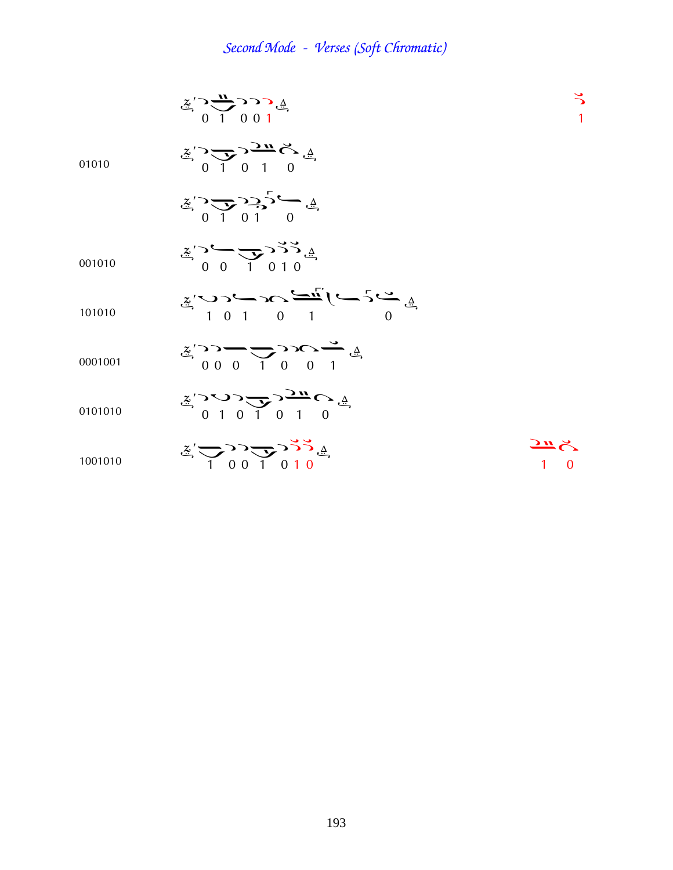$$
\sum_{i=1}^{n} \sum_{j=1}^{n} \sum_{j=1}^{n} \sum_{j=1}^{n} \sum_{j=1}^{n} \sum_{j=1}^{n} \sum_{j=1}^{n} \sum_{j=1}^{n} \sum_{j=1}^{n} \sum_{j=1}^{n} \sum_{j=1}^{n} \sum_{j=1}^{n} \sum_{j=1}^{n} \sum_{j=1}^{n} \sum_{j=1}^{n} \sum_{j=1}^{n} \sum_{j=1}^{n} \sum_{j=1}^{n} \sum_{j=1}^{n} \sum_{j=1}^{n} \sum_{j=1}^{n} \sum_{j=1}^{n} \sum_{j=1}^{n} \sum_{j=1}^{n} \sum_{j=1}^{n} \sum_{j=1}^{n} \sum_{j=1}^{n} \sum_{j=1}^{n} \sum_{j=1}^{n} \sum_{j=1}^{n} \sum_{j=1}^{n} \sum_{j=1}^{n} \sum_{j=1}^{n} \sum_{j=1}^{n} \sum_{j=1}^{n} \sum_{j=1}^{n} \sum_{j=1}^{n} \sum_{j=1}^{n} \sum_{j=1}^{n} \sum_{j=1}^{n} \sum_{j=1}^{n} \sum_{j=1}^{n} \sum_{j=1}^{n} \sum_{j=1}^{n} \sum_{j=1}^{n} \sum_{j=1}^{n} \sum_{j=1}^{n} \sum_{j=1}^{n} \sum_{j=1}^{n} \sum_{j=1}^{n} \sum_{j=1}^{n} \sum_{j=1}^{n} \sum_{j=1}^{n} \sum_{j=1}^{n} \sum_{j=1}^{n} \sum_{j=1}^{n} \sum_{j=1}^{n} \sum_{j=1}^{n} \sum_{j=1}^{n} \sum_{j=1}^{n} \sum_{j=1}^{n} \sum_{j=1}^{n} \sum_{j=1}^{n} \sum_{j=1}^{n} \sum_{j=1}^{n} \sum_{j=1}^{n} \sum_{j=1}^{n} \sum_{j=1}^{n} \sum_{j=1}^{n} \sum_{j=1}^{n} \sum_{j=1}^{n} \sum_{j=1}^{n} \sum_{j=1}^{n} \sum_{j=1}^{n} \sum_{j=1}^{n} \sum_{j=1}^{n}
$$

$$
\tilde{\mathbf{z}}_{\mathbf{z}}^{\prime} \sim \sum_{\mathbf{z}} \sum_{\mathbf{z}} \sum_{\mathbf{z}} \mathbf{z}_{\mathbf{z}}^{\mathbf{z}} \sim \tilde{\mathbf{z}}_{\mathbf{z}}
$$

001010 
$$
\frac{z}{0}
$$
  $\frac{z}{0}$   $\frac{z}{1}$  0 1 0

$$
\ddot{z}' \sim 2 \sim 2 \sim \frac{2\pi}{\pi} (\sim 5 \sim \text{A})
$$
\n
$$
101010 \qquad 101010
$$

$$
\mathbb{Z}' \longrightarrow \longrightarrow \longrightarrow \longrightarrow \longrightarrow \longrightarrow \mathbb{Z}
$$

0101010 
$$
\frac{z}{2}
$$

$$
\frac{z}{1001010} \qquad \qquad \frac{z}{10000} \qquad \qquad \frac{z}{1000} \qquad \qquad \frac{z}{1000} \qquad \qquad \frac{z}{1000} \qquad \qquad \frac{z}{1000} \qquad \qquad \frac{z}{1000} \qquad \qquad \frac{z}{1000} \qquad \qquad \frac{z}{1000} \qquad \qquad \frac{z}{1000} \qquad \qquad \frac{z}{1000} \qquad \qquad \frac{z}{1000} \qquad \qquad \frac{z}{1000} \qquad \qquad \frac{z}{1000} \qquad \qquad \frac{z}{1000} \qquad \qquad \frac{z}{1000} \qquad \qquad \frac{z}{1000} \qquad \qquad \frac{z}{1000} \qquad \qquad \frac{z}{1000} \qquad \qquad \frac{z}{1000} \qquad \qquad \frac{z}{1000} \qquad \qquad \frac{z}{1000} \qquad \qquad \frac{z}{1000} \qquad \qquad \frac{z}{1000} \qquad \qquad \frac{z}{1000} \qquad \qquad \frac{z}{1000} \qquad \qquad \frac{z}{1000} \qquad \qquad \frac{z}{1000} \qquad \qquad \frac{z}{1000} \qquad \qquad \frac{z}{1000} \qquad \qquad \frac{z}{1000} \qquad \qquad \frac{z}{1000} \qquad \qquad \frac{z}{1000} \qquad \qquad \frac{z}{1000} \qquad \qquad \frac{z}{1000} \qquad \qquad \frac{z}{1000} \qquad \qquad \frac{z}{1000} \qquad \qquad \frac{z}{1000} \qquad \qquad \frac{z}{1000} \qquad \qquad \frac{z}{1000} \qquad \qquad \frac{z}{1000} \qquad \qquad \frac{z}{1000} \qquad \qquad \frac{z}{1000} \qquad \qquad \frac{z}{1000} \qquad \qquad \frac{z}{1000} \qquad \qquad \frac{z}{1000} \qquad \qquad \frac{z}{1000} \qquad \qquad \frac{z
$$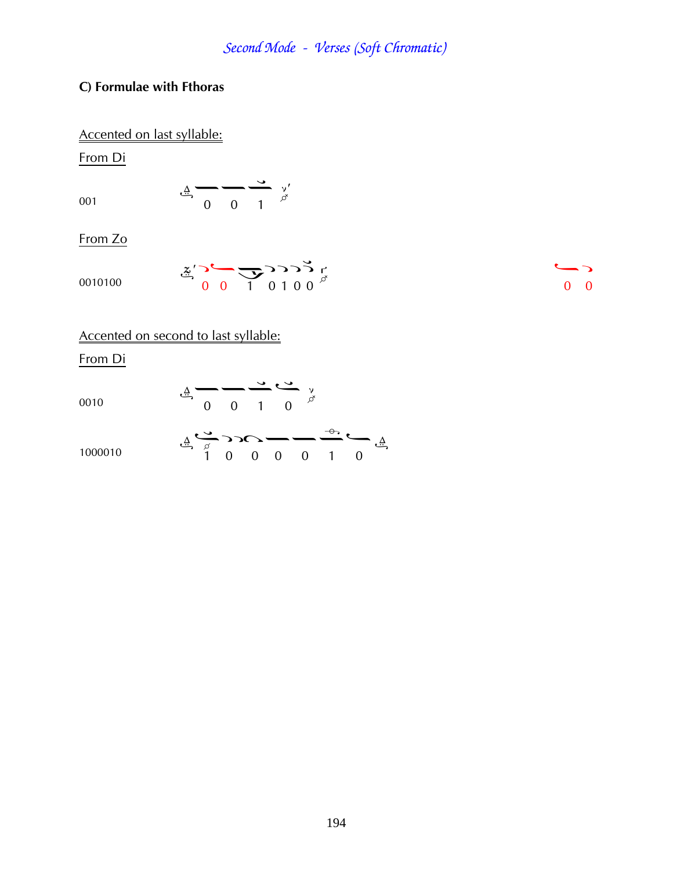### **C) Formulae with Fthoras**

### Accented on last syllable:

From Di

$$
0\\0\\1
$$

¤¤¢

From Zo

$$
\sum_{i=1}^{n} \sum_{j=1}^{n} \sum_{j=1}^{n} \sum_{j=1}^{n} (1 + i) \sum_{j=1}^{n} \sum_{j=1}^{n} (1 + i) \sum_{j=1}^{n} (1 + i) \sum_{j=1}^{n} (1 + i) \sum_{j=1}^{n} (1 + i) \sum_{j=1}^{n} (1 + i) \sum_{j=1}^{n} (1 + i) \sum_{j=1}^{n} (1 + i) \sum_{j=1}^{n} (1 + i) \sum_{j=1}^{n} (1 + i) \sum_{j=1}^{n} (1 + i) \sum_{j=1}^{n} (1 + i) \sum_{j=1}^{n} (1 + i) \sum_{j=1}^{n} (1 + i) \sum_{j=1}^{n} (1 + i) \sum_{j=1}^{n} (1 + i) \sum_{j=1}^{n} (1 + i) \sum_{j=1}^{n} (1 + i) \sum_{j=1}^{n} (1 + i) \sum_{j=1}^{n} (1 + i) \sum_{j=1}^{n} (1 + i) \sum_{j=1}^{n} (1 + i) \sum_{j=1}^{n} (1 + i) \sum_{j=1}^{n} (1 + i) \sum_{j=1}^{n} (1 + i) \sum_{j=1}^{n} (1 + i) \sum_{j=1}^{n} (1 + i) \sum_{j=1}^{n} (1 + i) \sum_{j=1}^{n} (1 + i) \sum_{j=1}^{n} (1 + i) \sum_{j=1}^{n} (1 + i) \sum_{j=1}^{n} (1 + i) \sum_{j=1}^{n} (1 + i) \sum_{j=1}^{n} (1 + i) \sum_{j=1}^{n} (1 + i) \sum_{j=1}^{n} (1 + i) \sum_{j=1}^{n} (1 + i) \sum_{j=1}^{n} (1 + i) \sum_{j=1}^{n} (1 + i) \sum_{j=1}^{n} (1 + i) \sum_{j=1}^{n} (1 + i) \sum_{j=1}^{n} (1 + i) \sum_{j=1}^{n} (1 + i) \sum_{j=1}^{n} (1 + i) \sum_{j=1}^{n} (1 + i) \sum_{j=1}^{n} (1 + i) \sum_{j=1}^{n} (1 + i) \sum_{j=1}^{n} (1 + i)
$$

Accented on second to last syllable:

From Di

0010  
\n
$$
\frac{4}{9} - \frac{4}{9} - \frac{1}{1} \frac{6}{9} \times \frac{1}{9}
$$
  
\n $\frac{4}{9} - \frac{1}{9} \times \frac{1}{9} \times \frac{1}{9}$   
\n $\frac{4}{1} \times \frac{1}{9} \times \frac{1}{1} \times \frac{1}{1} \times \frac{1}{1} \times \frac{1}{1} \times \frac{1}{1} \times \frac{1}{1} \times \frac{1}{1} \times \frac{1}{1} \times \frac{1}{1} \times \frac{1}{1} \times \frac{1}{1} \times \frac{1}{1} \times \frac{1}{1} \times \frac{1}{1} \times \frac{1}{1} \times \frac{1}{1} \times \frac{1}{1} \times \frac{1}{1} \times \frac{1}{1} \times \frac{1}{1} \times \frac{1}{1} \times \frac{1}{1} \times \frac{1}{1} \times \frac{1}{1} \times \frac{1}{1} \times \frac{1}{1} \times \frac{1}{1} \times \frac{1}{1} \times \frac{1}{1} \times \frac{1}{1} \times \frac{1}{1} \times \frac{1}{1} \times \frac{1}{1} \times \frac{1}{1} \times \frac{1}{1} \times \frac{1}{1} \times \frac{1}{1} \times \frac{1}{1} \times \frac{1}{1} \times \frac{1}{1} \times \frac{1}{1} \times \frac{1}{1} \times \frac{1}{1} \times \frac{1}{1} \times \frac{1}{1} \times \frac{1}{1} \times \frac{1}{1} \times \frac{1}{1} \times \frac{1}{1} \times \frac{1}{1} \times \frac{1}{1} \times \frac{1}{1} \times \frac{1}{1} \times \frac{1}{1} \times \frac{1}{1} \times \frac{1}{1} \times \frac{1}{1} \times \frac{1}{1} \times \frac{1}{1} \times \frac{1}{1} \times \frac{1}{1} \times \frac{1}{1} \times \frac{1}{1} \times \frac{1}{1} \times \frac{1}{1} \times \frac{1}{1} \times \frac{1}{1} \times \frac{1}{1} \times \frac{1}{1} \times \frac{1}{1} \times \frac{1}{1} \times \frac{1}{1} \times \frac{1$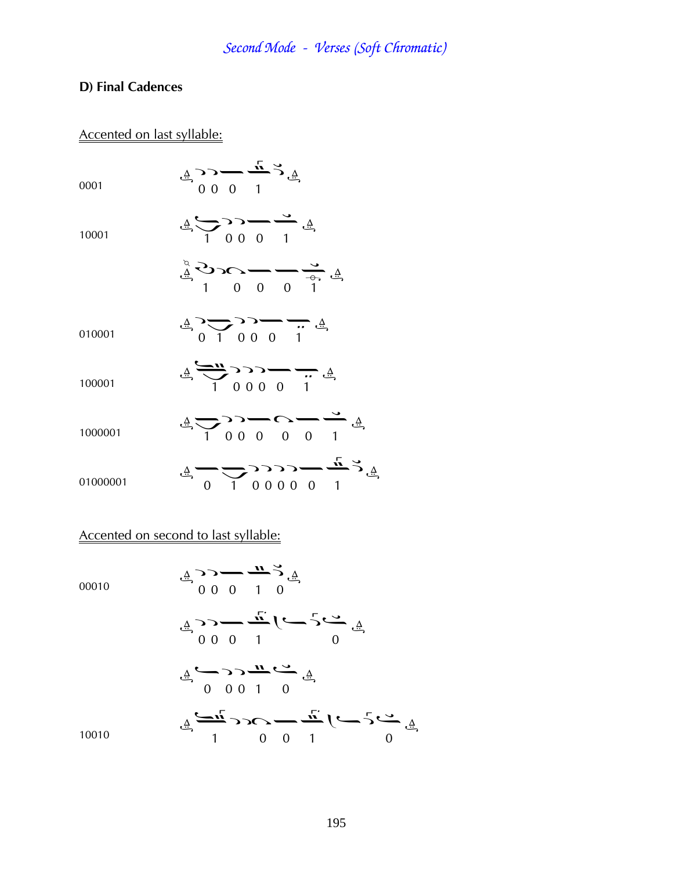### **D) Final Cadences**

### Accented on last syllable:

0001

$$
\stackrel{\triangle}{=} \stackrel{\sim}{\sim} \stackrel{\sim}{\sim} \stackrel{\sim}{=} \stackrel{\sim}{\sim} \stackrel{\triangle}{\stackrel{\triangle}{=}}
$$

10001

$$
\mathcal{L}_{\mathcal{L}} \sum_{i=1}^{n} \sum_{i=1}^{n} \sum_{j=1}^{n} \mathcal{L}_{\mathcal{L}} \sum_{j=1}^{n} \mathcal{L}_{\mathcal{L}} \mathcal{L}_{\mathcal{L}} \mathcal{L}_{\mathcal{L}} \mathcal{L}_{\mathcal{L}}
$$

$$
\frac{4}{9} \sum_{i=0}^{\infty} \frac{1}{2} - \sum_{i=0}^{\infty} \frac{1}{2} \sum_{j=0}^{\infty} \frac{1}{2} \sum_{j=0}^{\infty} \frac{1}{2} \sum_{j=0}^{\infty} \frac{1}{2} \sum_{j=0}^{\infty} \frac{1}{2} \sum_{j=0}^{\infty} \frac{1}{2} \sum_{j=0}^{\infty} \frac{1}{2} \sum_{j=0}^{\infty} \frac{1}{2} \sum_{j=0}^{\infty} \frac{1}{2} \sum_{j=0}^{\infty} \frac{1}{2} \sum_{j=0}^{\infty} \frac{1}{2} \sum_{j=0}^{\infty} \frac{1}{2} \sum_{j=0}^{\infty} \frac{1}{2} \sum_{j=0}^{\infty} \frac{1}{2} \sum_{j=0}^{\infty} \frac{1}{2} \sum_{j=0}^{\infty} \frac{1}{2} \sum_{j=0}^{\infty} \frac{1}{2} \sum_{j=0}^{\infty} \frac{1}{2} \sum_{j=0}^{\infty} \frac{1}{2} \sum_{j=0}^{\infty} \frac{1}{2} \sum_{j=0}^{\infty} \frac{1}{2} \sum_{j=0}^{\infty} \frac{1}{2} \sum_{j=0}^{\infty} \frac{1}{2} \sum_{j=0}^{\infty} \frac{1}{2} \sum_{j=0}^{\infty} \frac{1}{2} \sum_{j=0}^{\infty} \frac{1}{2} \sum_{j=0}^{\infty} \frac{1}{2} \sum_{j=0}^{\infty} \frac{1}{2} \sum_{j=0}^{\infty} \frac{1}{2} \sum_{j=0}^{\infty} \frac{1}{2} \sum_{j=0}^{\infty} \frac{1}{2} \sum_{j=0}^{\infty} \frac{1}{2} \sum_{j=0}^{\infty} \frac{1}{2} \sum_{j=0}^{\infty} \frac{1}{2} \sum_{j=0}^{\infty} \frac{1}{2} \sum_{j=0}^{\infty} \frac{1}{2} \sum_{j=0}^{\infty} \frac{1}{2} \sum_{j=0}^{\infty} \frac{1}{2} \sum_{j=0}^{\infty
$$

010001

100001

1000001

$$
\triangleq \frac{1}{100000} \longrightarrow \triangleq
$$

 $\frac{4}{9}$ ,  $\frac{1}{10000}$ ,  $\frac{1}{1000}$ 

$$
\stackrel{\Delta}{\longrightarrow}
$$

01000001

$$
\begin{array}{ccc}\n\frac{1}{4} & \frac{1}{4} & \frac{1}{4} & \frac{1}{4} \\
\frac{1}{4} & \frac{1}{4} & \frac{1}{4} & \frac{1}{4} & \frac{1}{4} \\
\frac{1}{4} & \frac{1}{4} & \frac{1}{4} & \frac{1}{4} & \frac{1}{4}\n\end{array}
$$

### Accented on second to last syllable:

00010

¦¦¤¢¦ ¦¦¤ ¢ ¤ ¤¦¦¢¤ ¢à¤ ¢ ¤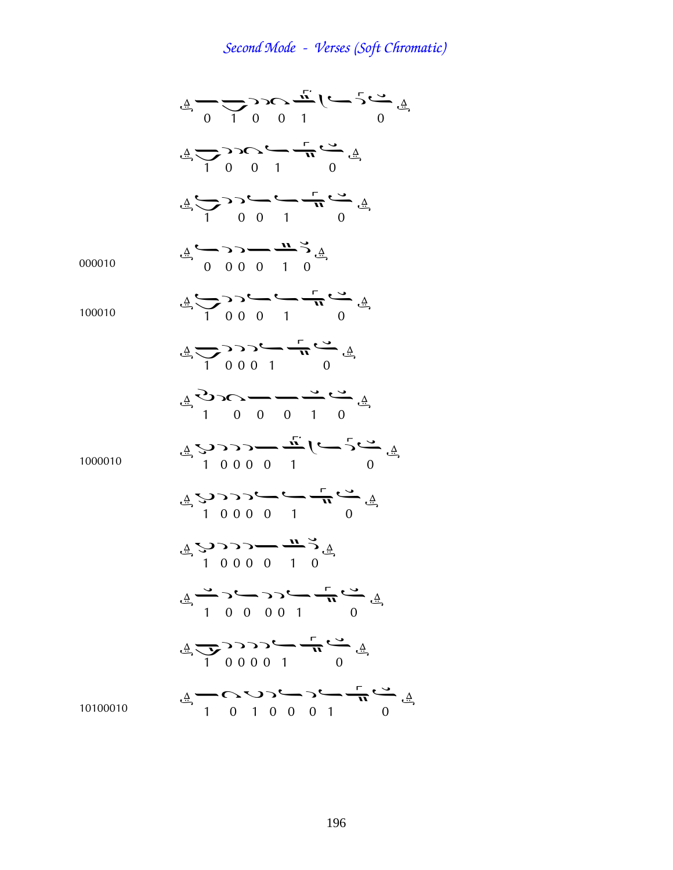¤¢ ¦à ¢ ¤ ¢ ¦à¢¤ ¢ ¦¤¢¤ 000010 ¤¦¦¤¢¦ 100010 ¢ ¦¦¤¢¤ ¢ ¦¦¦¢¤ Þà¤¤¢¤ 1000010 Þ¦¦¦¤ ¢ ¤ Þ¦¦¦¤¢¤ Þ¦¦¦¤¢¦ ¢¦¤¦¦¢¤ ¢¦¦¦¦¢¤ 10100010 ¢àÞ¦¤¦¢¤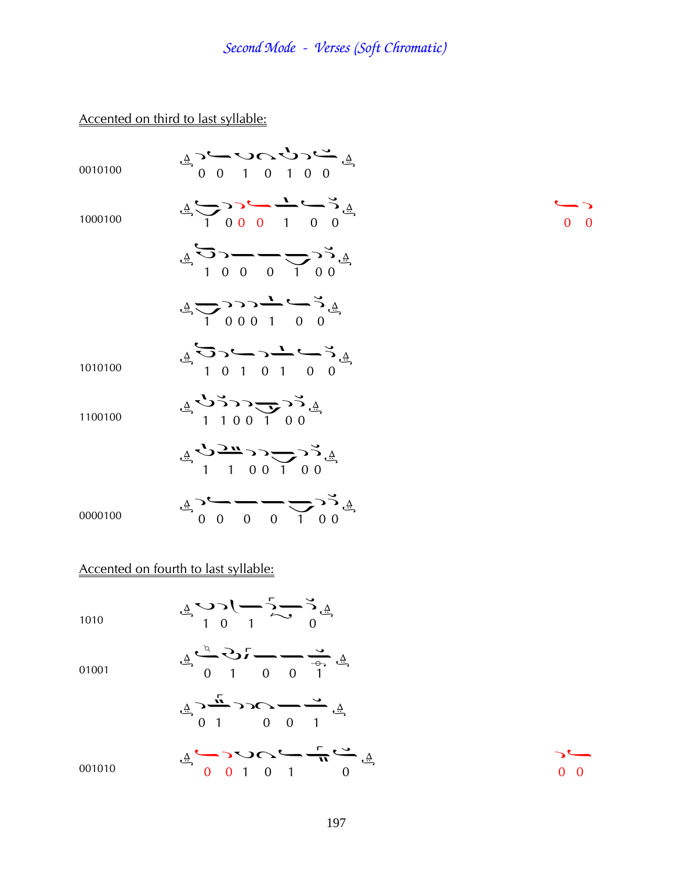### Accented on third to last syllable:

| 0010100 | $45$ $-20$ $-20$<br>$47$ $-6$<br>$-1$ 0 1 0 0                                                                                                                                                                                                                                                                                                       |  |
|---------|-----------------------------------------------------------------------------------------------------------------------------------------------------------------------------------------------------------------------------------------------------------------------------------------------------------------------------------------------------|--|
| 1000100 | $\frac{4}{4}$ $\frac{6}{1}$ $\frac{1}{1}$ $\frac{0}{1}$ $\frac{1}{1}$ $\frac{0}{1}$ $\frac{1}{1}$ $\frac{0}{1}$ $\frac{1}{1}$                                                                                                                                                                                                                       |  |
|         | $\frac{1}{4}$ $\sum_{1}^{6}$ $\sum_{1}^{6}$ $\sum_{1}^{6}$ $\sum_{1}^{6}$ $\sum_{1}^{6}$ $\sum_{1}^{6}$                                                                                                                                                                                                                                             |  |
|         | $\frac{1}{4}$ $\frac{1}{1}$ 0 0 0 1 0 0                                                                                                                                                                                                                                                                                                             |  |
| 1010100 | $45 - 1010100$                                                                                                                                                                                                                                                                                                                                      |  |
| 1100100 | $\frac{1}{4}$ $\sum_{1}^{6}$ $\sum_{1}^{6}$ $\sum_{1}^{6}$ $\sum_{1}^{6}$                                                                                                                                                                                                                                                                           |  |
|         | $\begin{array}{ccc}\n\frac{\sqrt{3}}{1} & \frac{1}{1} & 0 & 0 & 1 & 0 & 0 \\ \frac{\sqrt{3}}{1} & \frac{1}{1} & 0 & 0 & 1 & 0 & 0 \\ \frac{\sqrt{3}}{1} & \frac{1}{1} & \frac{1}{1} & \frac{1}{1} & \frac{1}{1} & \frac{1}{1} & \frac{1}{1}\n\end{array}$                                                                                           |  |
| 0000100 | $\begin{picture}(150,10) \put(0,0){\line(1,0){10}} \put(15,0){\line(1,0){10}} \put(15,0){\line(1,0){10}} \put(15,0){\line(1,0){10}} \put(15,0){\line(1,0){10}} \put(15,0){\line(1,0){10}} \put(15,0){\line(1,0){10}} \put(15,0){\line(1,0){10}} \put(15,0){\line(1,0){10}} \put(15,0){\line(1,0){10}} \put(15,0){\line(1,0){10}} \put(15,0){\line($ |  |
|         | Accented on fourth to last syllable:                                                                                                                                                                                                                                                                                                                |  |
| 1010    | $\begin{array}{ccc}\n\frac{1}{4} & \mathbf{0} & \mathbf{1} & \mathbf{0} & \mathbf{0} \\ \frac{1}{4} & \mathbf{0} & \mathbf{1} & \mathbf{0} & \mathbf{0}\n\end{array}$                                                                                                                                                                               |  |

01001

¤ Þ¤¤¢ 

$$
\stackrel{\mathbb{A}}{\rightarrow} \stackrel{\stackrel{\tau}{\rightarrow}}{1} \stackrel{\tau}{\rightarrow} \stackrel{\tau}{\rightarrow} \stackrel{\rightarrow}{\rightarrow} \stackrel{\mathbb{A}}{1}
$$

001010  $\frac{4}{9}$  0 1 0 1 0 1 0  $\frac{4}{9}$  $\frac{1}{0}$